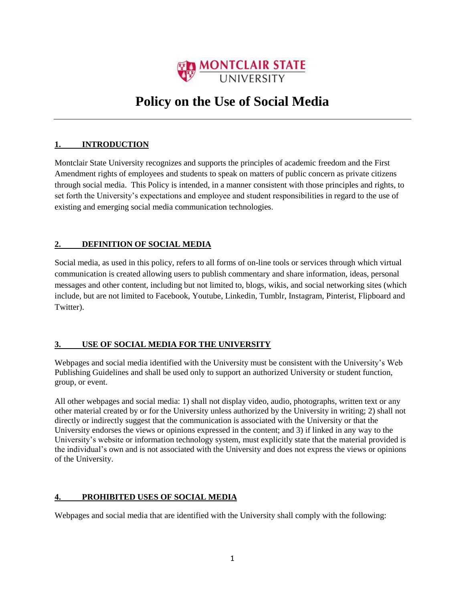

# **Policy on the Use of Social Media**

## **1. INTRODUCTION**

Montclair State University recognizes and supports the principles of academic freedom and the First Amendment rights of employees and students to speak on matters of public concern as private citizens through social media. This Policy is intended, in a manner consistent with those principles and rights, to set forth the University's expectations and employee and student responsibilities in regard to the use of existing and emerging social media communication technologies.

#### **2. DEFINITION OF SOCIAL MEDIA**

Social media, as used in this policy, refers to all forms of on-line tools or services through which virtual communication is created allowing users to publish commentary and share information, ideas, personal messages and other content, including but not limited to, blogs, wikis, and social networking sites (which include, but are not limited to Facebook, Youtube, Linkedin, Tumblr, Instagram, Pinterist, Flipboard and Twitter).

## **3. USE OF SOCIAL MEDIA FOR THE UNIVERSITY**

Webpages and social media identified with the University must be consistent with the University's Web Publishing Guidelines and shall be used only to support an authorized University or student function, group, or event.

All other webpages and social media: 1) shall not display video, audio, photographs, written text or any other material created by or for the University unless authorized by the University in writing; 2) shall not directly or indirectly suggest that the communication is associated with the University or that the University endorses the views or opinions expressed in the content; and 3) if linked in any way to the University's website or information technology system, must explicitly state that the material provided is the individual's own and is not associated with the University and does not express the views or opinions of the University.

#### **4. PROHIBITED USES OF SOCIAL MEDIA**

Webpages and social media that are identified with the University shall comply with the following: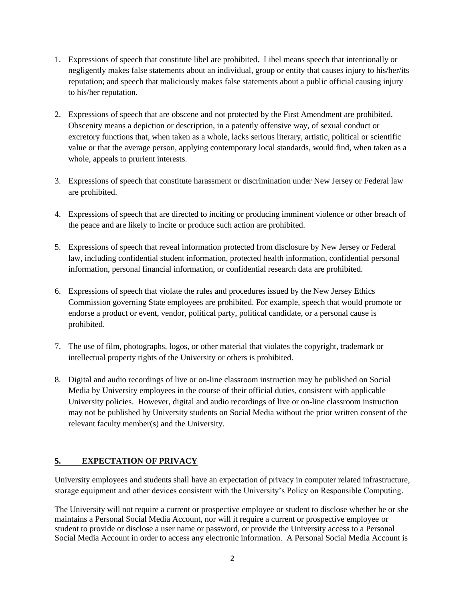- 1. Expressions of speech that constitute libel are prohibited. Libel means speech that intentionally or negligently makes false statements about an individual, group or entity that causes injury to his/her/its reputation; and speech that maliciously makes false statements about a public official causing injury to his/her reputation.
- 2. Expressions of speech that are obscene and not protected by the First Amendment are prohibited. Obscenity means a depiction or description, in a patently offensive way, of sexual conduct or excretory functions that, when taken as a whole, lacks serious literary, artistic, political or scientific value or that the average person, applying contemporary local standards, would find, when taken as a whole, appeals to prurient interests.
- 3. Expressions of speech that constitute harassment or discrimination under New Jersey or Federal law are prohibited.
- 4. Expressions of speech that are directed to inciting or producing imminent violence or other breach of the peace and are likely to incite or produce such action are prohibited.
- 5. Expressions of speech that reveal information protected from disclosure by New Jersey or Federal law, including confidential student information, protected health information, confidential personal information, personal financial information, or confidential research data are prohibited.
- 6. Expressions of speech that violate the rules and procedures issued by the New Jersey Ethics Commission governing State employees are prohibited. For example, speech that would promote or endorse a product or event, vendor, political party, political candidate, or a personal cause is prohibited.
- 7. The use of film, photographs, logos, or other material that violates the copyright, trademark or intellectual property rights of the University or others is prohibited.
- 8. Digital and audio recordings of live or on-line classroom instruction may be published on Social Media by University employees in the course of their official duties, consistent with applicable University policies. However, digital and audio recordings of live or on-line classroom instruction may not be published by University students on Social Media without the prior written consent of the relevant faculty member(s) and the University.

## **5. EXPECTATION OF PRIVACY**

University employees and students shall have an expectation of privacy in computer related infrastructure, storage equipment and other devices consistent with the University's Policy on Responsible Computing.

The University will not require a current or prospective employee or student to disclose whether he or she maintains a Personal Social Media Account, nor will it require a current or prospective employee or student to provide or disclose a user name or password, or provide the University access to a Personal Social Media Account in order to access any electronic information. A Personal Social Media Account is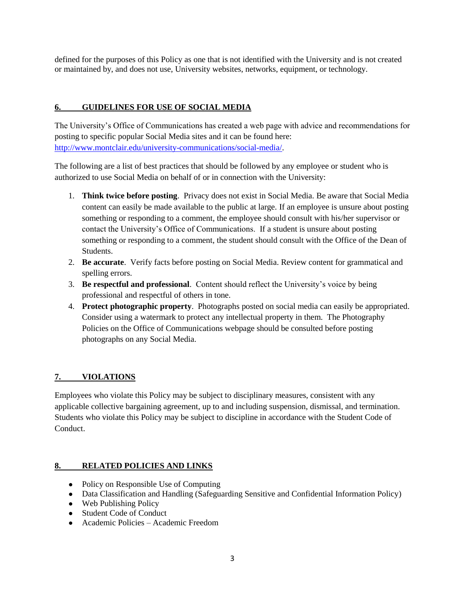defined for the purposes of this Policy as one that is not identified with the University and is not created or maintained by, and does not use, University websites, networks, equipment, or technology.

#### **6. GUIDELINES FOR USE OF SOCIAL MEDIA**

The University's Office of Communications has created a web page with advice and recommendations for posting to specific popular Social Media sites and it can be found here: [http://www.montclair.edu/university-communications/s](http://www.montclair.edu/university-communications/)ocial-media/.

The following are a list of best practices that should be followed by any employee or student who is authorized to use Social Media on behalf of or in connection with the University:

- 1. **Think twice before posting**. Privacy does not exist in Social Media. Be aware that Social Media content can easily be made available to the public at large. If an employee is unsure about posting something or responding to a comment, the employee should consult with his/her supervisor or contact the University's Office of Communications. If a student is unsure about posting something or responding to a comment, the student should consult with the Office of the Dean of Students.
- 2. **Be accurate**. Verify facts before posting on Social Media. Review content for grammatical and spelling errors.
- 3. **Be respectful and professional**. Content should reflect the University's voice by being professional and respectful of others in tone.
- 4. **Protect photographic property**. Photographs posted on social media can easily be appropriated. Consider using a watermark to protect any intellectual property in them. The Photography Policies on the Office of Communications webpage should be consulted before posting photographs on any Social Media.

#### **7. VIOLATIONS**

Employees who violate this Policy may be subject to disciplinary measures, consistent with any applicable collective bargaining agreement, up to and including suspension, dismissal, and termination. Students who violate this Policy may be subject to discipline in accordance with the Student Code of Conduct.

#### **8. RELATED POLICIES AND LINKS**

- Policy on Responsible Use of Computing
- Data Classification and Handling (Safeguarding Sensitive and Confidential Information Policy)
- Web Publishing Policy
- Student Code of Conduct
- Academic Policies Academic Freedom